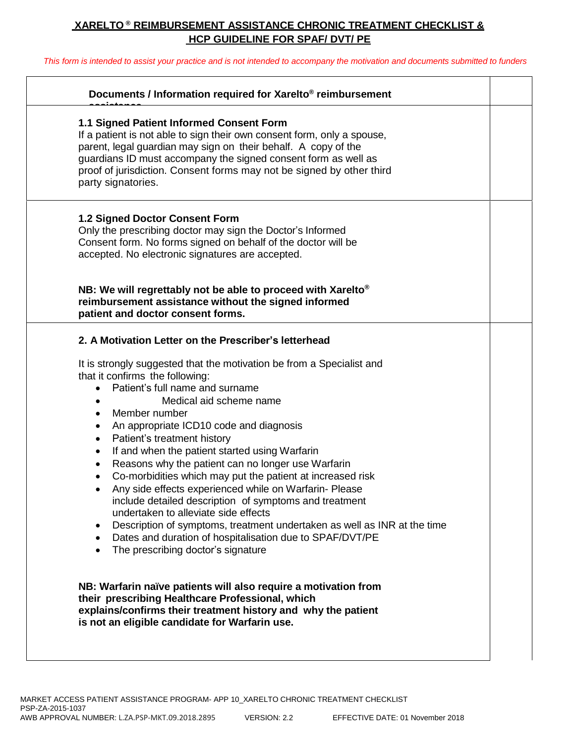## **XARELTO ® REIMBURSEMENT ASSISTANCE CHRONIC TREATMENT CHECKLIST & HCP GUIDELINE FOR SPAF/ DVT/ PE**

This form is intended to assist your practice and is not intended to accompany the motivation and documents submitted to funders

| Documents / Information required for Xarelto® reimbursement                                                                                                                                                                                                                                                                                                                                                                                                                                                                                                                                                                                                                                                                                                                                                                        |  |
|------------------------------------------------------------------------------------------------------------------------------------------------------------------------------------------------------------------------------------------------------------------------------------------------------------------------------------------------------------------------------------------------------------------------------------------------------------------------------------------------------------------------------------------------------------------------------------------------------------------------------------------------------------------------------------------------------------------------------------------------------------------------------------------------------------------------------------|--|
| 1.1 Signed Patient Informed Consent Form<br>If a patient is not able to sign their own consent form, only a spouse,<br>parent, legal guardian may sign on their behalf. A copy of the<br>guardians ID must accompany the signed consent form as well as<br>proof of jurisdiction. Consent forms may not be signed by other third<br>party signatories.                                                                                                                                                                                                                                                                                                                                                                                                                                                                             |  |
| <b>1.2 Signed Doctor Consent Form</b><br>Only the prescribing doctor may sign the Doctor's Informed<br>Consent form. No forms signed on behalf of the doctor will be<br>accepted. No electronic signatures are accepted.                                                                                                                                                                                                                                                                                                                                                                                                                                                                                                                                                                                                           |  |
| NB: We will regrettably not be able to proceed with Xarelto <sup>®</sup><br>reimbursement assistance without the signed informed<br>patient and doctor consent forms.                                                                                                                                                                                                                                                                                                                                                                                                                                                                                                                                                                                                                                                              |  |
| 2. A Motivation Letter on the Prescriber's letterhead                                                                                                                                                                                                                                                                                                                                                                                                                                                                                                                                                                                                                                                                                                                                                                              |  |
| It is strongly suggested that the motivation be from a Specialist and<br>that it confirms the following:<br>Patient's full name and surname<br>Medical aid scheme name<br>Member number<br>$\bullet$<br>An appropriate ICD10 code and diagnosis<br>Patient's treatment history<br>٠<br>If and when the patient started using Warfarin<br>Reasons why the patient can no longer use Warfarin<br>٠<br>Co-morbidities which may put the patient at increased risk<br>Any side effects experienced while on Warfarin- Please<br>include detailed description of symptoms and treatment<br>undertaken to alleviate side effects<br>Description of symptoms, treatment undertaken as well as INR at the time<br>$\bullet$<br>Dates and duration of hospitalisation due to SPAF/DVT/PE<br>$\bullet$<br>The prescribing doctor's signature |  |
| NB: Warfarin naïve patients will also require a motivation from<br>their prescribing Healthcare Professional, which<br>explains/confirms their treatment history and why the patient<br>is not an eligible candidate for Warfarin use.                                                                                                                                                                                                                                                                                                                                                                                                                                                                                                                                                                                             |  |